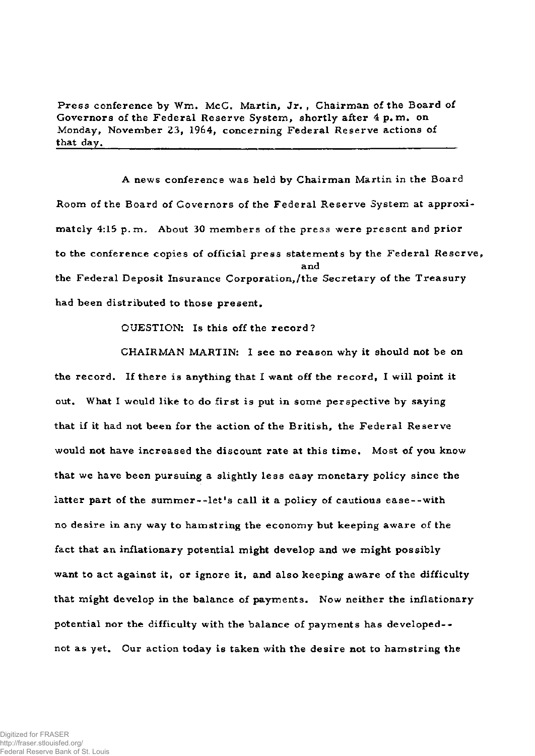**Press conference by Wm, McC, Martin, Jr, , Chairman of the Board of Governors of the Federal Reserve System, shortly after 4 p, m. on Monday, November 23, 1964, concerning Federal Reserve actions of that day,** 

**A news conference was held by Chairman Martin in the Board Room of the Board of Governors of the Federal Reserve System at approxi mately 4:15 p.m. About 30 members of the press were present and prior to the conference copies of official press statements by the Federal Reserve, and the Federal Deposit Insurance Corporation,/the Secretary of the Treasury had been distributed to those present,** 

**QUESTION: Is this off the record?** 

**CHAIRMAN MARTIN: I see no reason why it should not be on the record. If there is anything that I want off the record, I will point it out. What I would like to do first is put in some perspective by saying that if it had not been for the action of the British, the Federal Reserve would not have increased the discount rate at this time. Most of you know that we have been pursuing a slightly less easy monetary policy since the**  latter part of the summer--let's call it a policy of cautious ease--with **no desire in any way to hamstring the economy but keeping aware of the fact that an inflationary potential might develop and we might possibly want to act against it, or ignore it, and also keeping aware of the difficulty that might develop in the balance of payments. Now neither the inflationary potential nor the difficulty with the balance of payments has developed- not as yet. Our action today is taken with the desire not to hamstring the**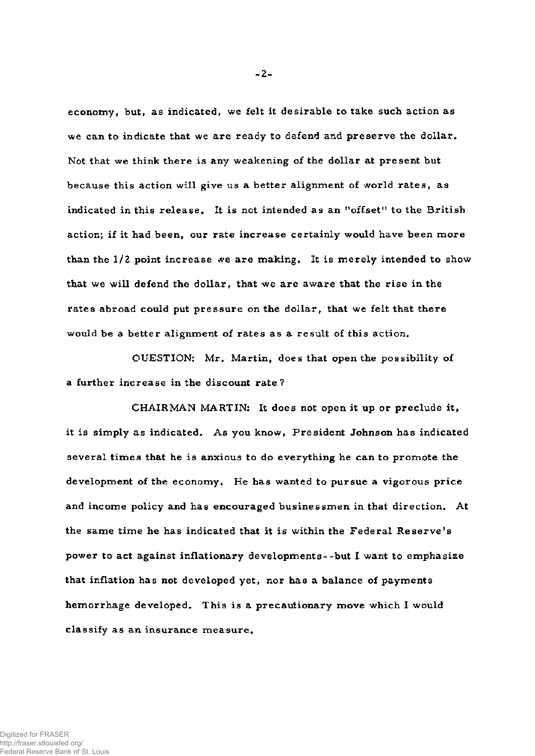**economy, but, as indicated, we felt it desirable to take such action as we can to indicate that we are ready to defend and preserve the dollar. Not that we think there is any weakening of the dollar at present but because this action will give us a better alignment of world rates, as indicated in this release. It is not intended as an "offset" to the British action; if it had been, our rate increase certainly would have been more than the 1/2 point increase we are making. It is merely intended to show that we will defend the dollar, that we are aware that the rise in the rates abroad could put pressure on the dollar, that we felt that there would be a better alignment of rates as a result of this action.** 

**QUESTION: Mr. Martin, does that open the possibility of a further increase in the discount rate?** 

**CHAIRMAN MARTIN: It does not open it up or preclude it, it is simply as indicated. As you know, President Johnson has indicated several times that he is anxious to do everything he can to promote the development of the economy. He has wanted to pursue a vigorous price and income policy and has encouraged businessmen in that direction. At the same time he has indicated that it is within the Federal Reserve's power to act against inflationary developments--but I want to emphasize that inflation has not developed yet, nor has a balance of payments hemorrhage developed. This is a precautionary move which I would classify as an insurance measure.** 

**- 2 -**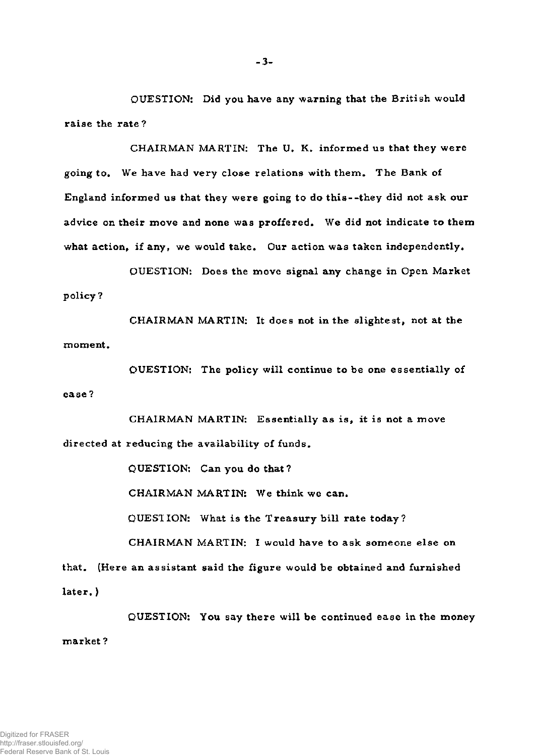**OUESTION: Did you have any warning that the British would raise the rate ?** 

**CHAIRMAN MARTIN: The U. K. informed us that they were going to. We have had very close relations with them. The Bank of England informed us that they were going to do this--they did not ask our advice on their move and none was proffered. We did not indicate to them what action, if any, we would take. Our action was taken independently.** 

**QUESTION: Does the move signal any change in Open Market policy?** 

**CHAIRMAN MARTIN: It does not in the slightest, not at the moment.** 

**QUESTION: The policy will continue to be one essentially of ease ?** 

**CHAIRMAN MARTIN: Essentially as is, it is not a move directed at reducing the availability of funds.** 

**QUESTION: Can you do that?** 

**CHAIRMAN MARTIN: We think we can.** 

**QUESTION: What is the Treasury bill rate today?** 

**CHAIRMAN MARTIN: I would have to ask someone else on that. (Here an assistant said the figure would be obtained and furnished later. )** 

**QUESTION: You say there will be continued ease in the money market ?**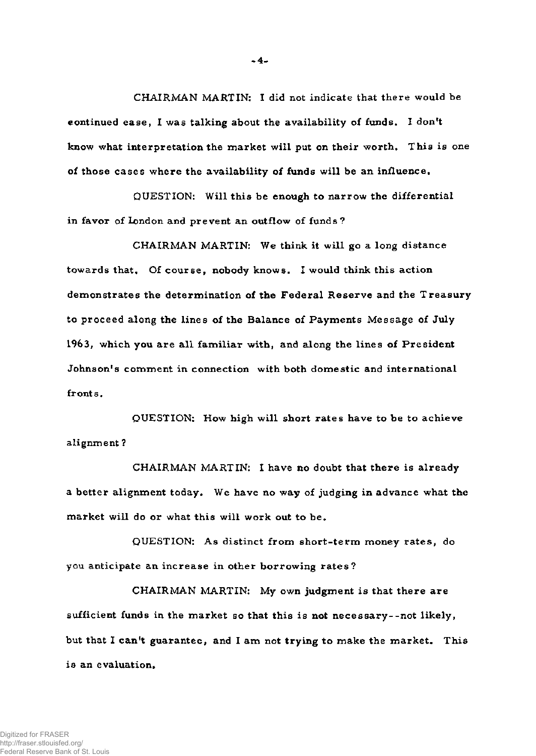**CHAIRMAN MARTIN: I did not indicate that there would be continued ease, I was talking about the availability of funds. I don't know what interpretation the market will put on their worth. This is one of those cases where the availability of funds will be an influence.** 

**QUESTION: Will this be enough to narrow the differential in favor of London and prevent an outflow of funds ?** 

**CHAIRMAN MARTIN: We think it will go a long distance towards that. Of course, nobody knows. I would think this action demonstrates the determination of the Federal Reserve and the Treasury to proceed along the lines of the Balance of Payments Message of July 1963, which you are all familiar with, and along the lines of President Johnson's comment in connection with both domestic and international fronts.** 

**QUESTION: How high will short rates have to be to achieve alignment ?** 

**CHAIRMAN MARTIN: I have no doubt that there is already a better alignment today. We have no way of judging in advance what the market will do or what this will work out to be.** 

**QUESTION: As distinct from short-term money rates, do you anticipate an increase in other borrowing rates?** 

**CHAIRMAN MARTIN: My own judgment is that there are sufficient funds in the market so that this is not necessary--not likely,**  but that I can't guarantee, and I am not trying to make the market. This **is an evaluation,** 

**-4-**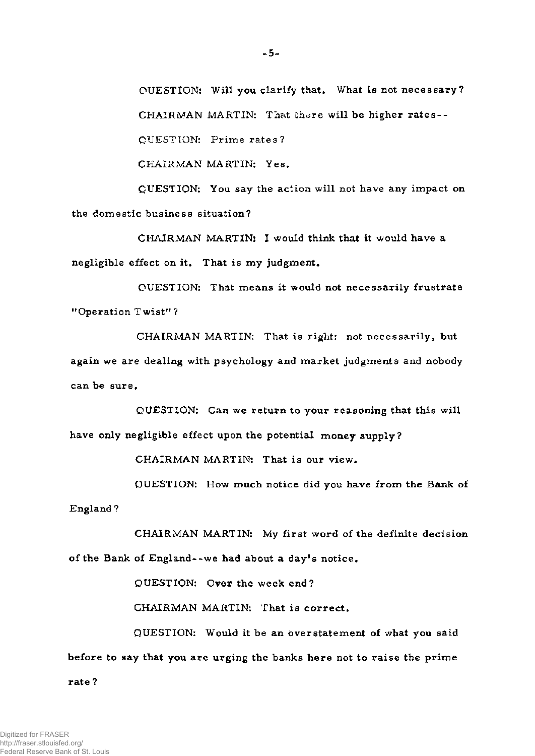QUESTION: Will you clarify that. What is not necessary? CHAIRMAN MARTIN: That there will be higher rates-- QUESTION: Prime rates?

CHAIRMAN MARTIN: Yes.

QUESTION: You say the action will not have any impact on the domestic business situation?

CHAIRMAN MARTIN: I would think that it would have a negligible effect on it. That is my judgment.

QUESTION: That means it would not necessarily frustrate "Operation Twist"?

CHAIRMAN MARTIN: That is right: not necessarily, but again we are dealing with psychology and market judgments and nobody can be sure.

QUESTION: Can we return to your reasoning that this will have only negligible effect upon the potential money supply?

CHAIRMAN MARTIN: That is our view.

QUESTION: How much notice did you have from the Bank of England ?

CHAIRMAN MARTIN: My first word of the definite decision of the Bank of England--we had about a day's notice.

QUESTION: Over the week end?

CHAIRMAN MARTIN: That is correct.

QUESTION: Would it be an overstatement of what you said before to say that you are urging the banks here not to raise the prime

rate ?

http://fraser.stlouisfed.org/ Federal Reserve Bank of St. Louis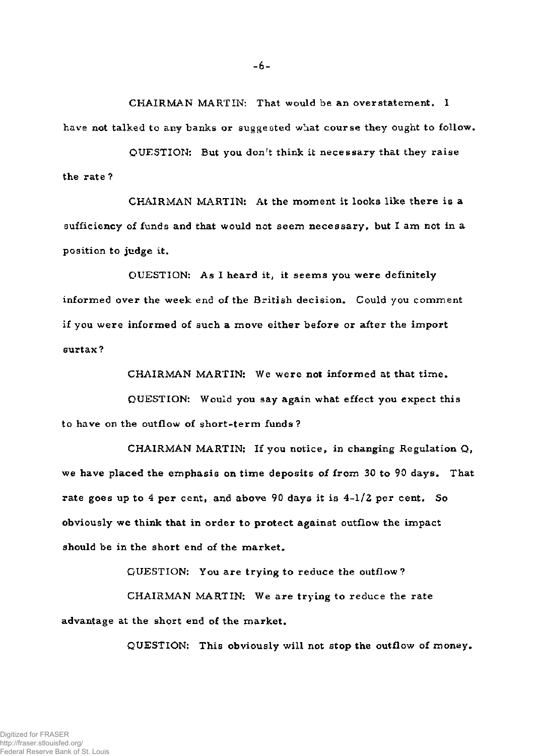**CHAIRMAN MARTIN: That would be an overstatement, I have not talked to any banks or suggested what course they ought to follow.** 

**QUESTION: But you don't think it necessary that they raise the rate ?** 

**CHAIRMAN MARTIN: At the moment it looks like there is a sufficiency of funds and that would not seem necessary, but I am not in a position to judge it.** 

**QUESTION: As I heard it, it seems you were definitely informed over the week end of the British decision. Could you comment if you were informed of such a move either before or after the import surtax?** 

**CHAIRMAN MARTIN: We were not informed at that time.** 

**QUESTION: Would you say again what effect you expect this to have on the outflow of short-term funds?** 

**CHAIRMAN MARTIN: If you notice, in changing Regulation** *Q,*  **we have placed the emphasis on time deposits of from 30 to 90 days. That rate goes up to 4 per cent, and above 90 days it is 4-1/2 per cent. So obviously we think that in order to protect against outflow the impact should be in the short end of the market.** 

**QUESTION: You are trying to reduce the outflow?** 

**CHAIRMAN MARTIN: We are trying to reduce the rate advantage at the short end of the market.** 

**QUESTION: This obviously will not stop the outflow of money.** 

**- 6 -**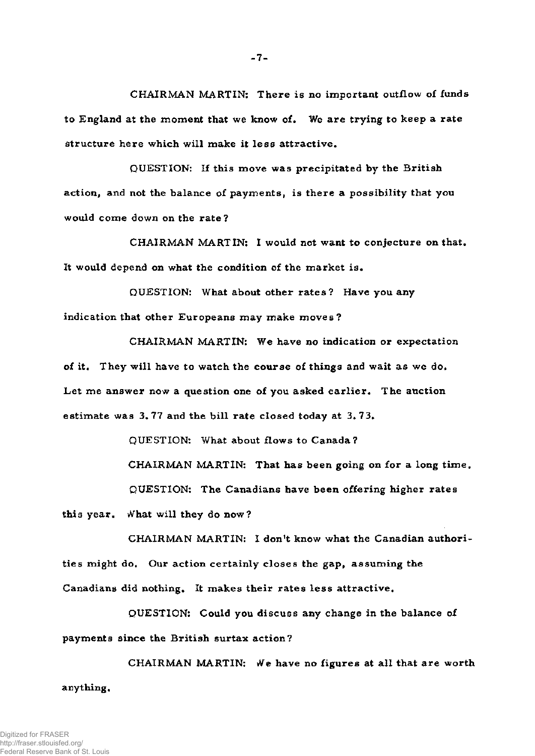**CHAIRMAN MARTIN: There is no important outflow of funds to England at the moment that we know of. We are trying to keep a rate structure here which will make it less attractive.** 

**QUESTION: If this move was precipitated by the British action, and not the balance of payments, is there a possibility that you would come down on the rate?** 

**CHAIRMAN MARTIN: I would not want to conjecture on that. It would depend on what the condition of the market is.** 

**QUESTION: What about other rates? Have you any indication that other Europeans may make moves?** 

**CHAIRMAN MARTIN: We have no indication or expectation of it. They will have to watch the course of things and wait as we do. Let me answer now a question one of you asked earlier. The auction estimate was 3.77 and the bill rate closed today at 3.73.** 

**QUESTION: What about flows to Canada?** 

**CHAIRMAN MARTIN: That has been going on for a long time. QUESTION: The Canadians have been offering higher rates** 

**this year. What will they do now?** 

**CHAIRMAN MARTIN: I don't know what the Canadian authori ties might do. Our action certainly closes the gap, assuming the Canadians did nothing. It makes their rates less attractive.** 

**QUESTION: Could you discuss any change in the balance of payments since the British surtax action?** 

**CHAIRMAN MARTIN: We have no figures at all that are worth anything.** 

**- 7 -**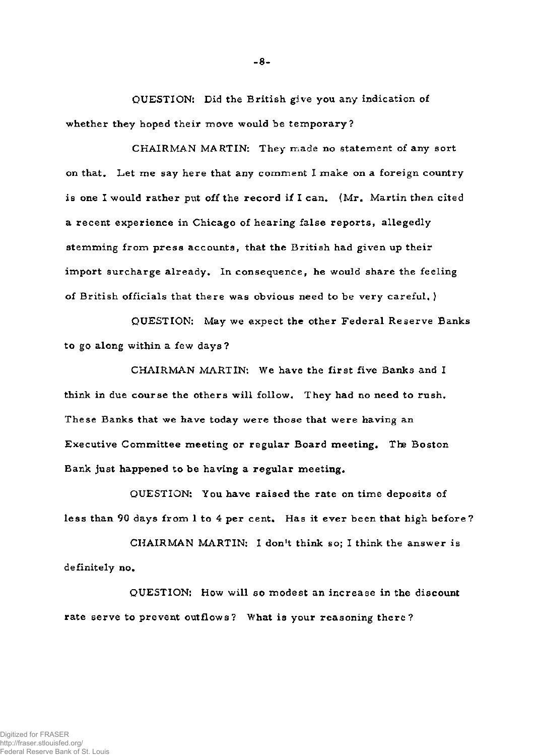**QUESTION: Did the British give you any indication of whether they hoped their move would be temporary?** 

**CHAIRMAN MARTIN: They made no statement of any sort on that. Let me say here that any comment I make on a foreign country is one I would rather put off the record if I can. (Mr. Martin then cited a recent experience in Chicago of hearing false reports, allegedly stemming from press accounts, that the British had given up their import surcharge already. In consequence, he would share the feeling of British officials that there was obvious need to be very careful. )** 

**QUESTION: May we expect the other Federal Reserve Banks to go along within a few days?** 

**CHAIRMAN MARTIN: We have the first five Banks and I think in due course the others will follow. They had no need to rush. These Banks that we have today were those that were having an Executive Committee meeting or regular Board meeting. The Boston Bank just happened to be having a regular meeting.** 

**QUESTION: You have raised the rate on time deposits of less than 90 days from 1 to 4 per cent. Has it ever been that high before?** 

**CHAIRMAN MARTIN: I don't think so; I think the answer is definitely no.** 

**QUESTION: How will so modest an increase in the discount rate serve to prevent outflows? What is your reasoning there?** 

**- 8 -**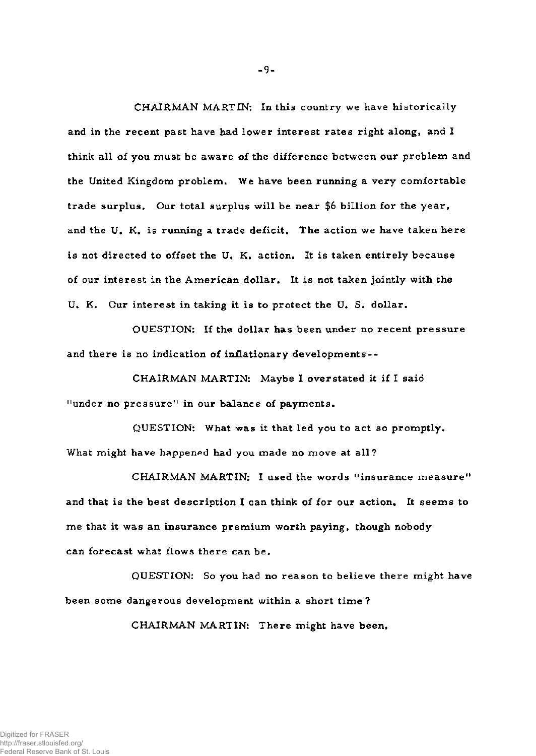**CHAIRMAN MARTIN: In this country we have historically and in the recent past have had lower interest rates right along, and I think all of you must be aware of the difference between our problem and the United Kingdom problem. We have been running a very comfortable trade surplus. Our total surplus will be near \$6 billion for the year, and the U. K. is running a trade deficit. The action we have taken here is not directed to offset the U. K. action. It is taken entirely because of our interest in the American dollar. It is not taken jointly with the U. K. Our interest in taking it is to protect the U. S. dollar.** 

**QUESTION: If the dollar has been under no recent pressure and there is no indication of inflationary developments--**

**CHAIRMAN MARTIN: Maybe I overstated it if I said n under no pressure" in our balance of payments.** 

**QUESTION: What was it that led you to act so promptly. What might have happened had you made no move at all?** 

**CHAIRMAN MARTIN: I used the words "insurance measure" and that is the best description I can think of for our action. It seems to me that it was an insurance premium worth paying, though nobody can forecast what flows there can be.** 

**QUESTION: So you had no reason to believe there might have been some dangerous development within a short time ?** 

**CHAIRMAN MARTIN: There might have been.**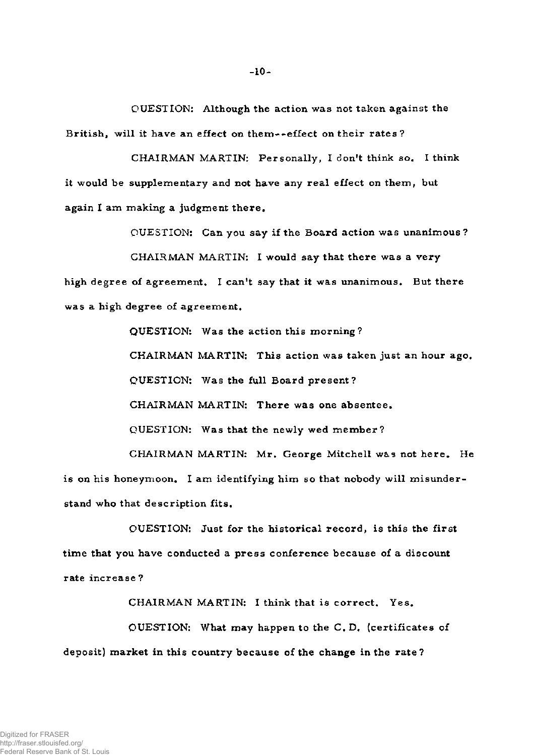**OUESTION: Although the action was not taken against the British, will it have an effect on them — effect on their rates?** 

**CHAIRMAN MARTIN: Personally, I don't think so. I think it would be supplementary and not have any real effect on them, but again I am making a judgment there.** 

**QUESTION: Can you say if the Board action was unanimous?** 

**CHAIRMAN MARTIN: I would say that there was a very high degree of agreement, I can't say that it was unanimous. But there was a high degree of agreement.** 

> **QUESTION: Was the action this morning? CHAIRMAN MARTIN: This action was taken just an hour ago. QUESTION: Was the full Board present? CHAIRMAN MARTIN: There was one absentee. QUESTION: Was that the newly wed member? CHAIRMAN MARTIN: Mr. George Mitchell was not here. He**

**is on his honeymoon. I am identifying him so that nobody will misunder stand who that description fits.** 

**QUESTION: Just for the historical record, is this the first time that you have conducted a press conference because of a discount rate increase ?** 

**CHAIRMAN MARTIN: I think that is correct. Yes. QUESTION: What may happen to the C. D. (certificates of deposit) market in this country because of the change in the rate?**